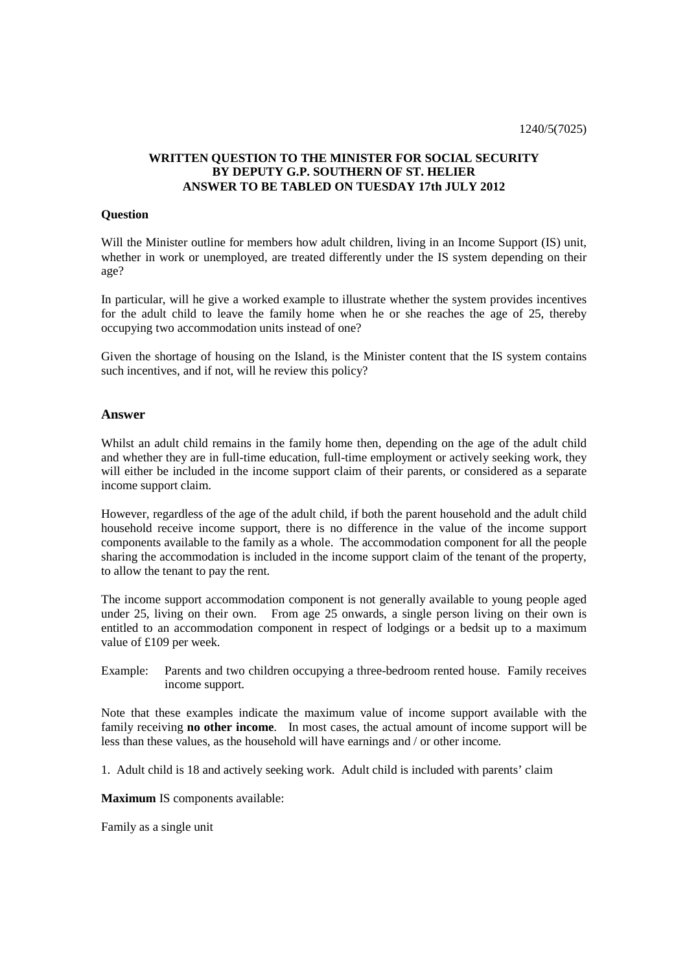### **WRITTEN QUESTION TO THE MINISTER FOR SOCIAL SECURITY BY DEPUTY G.P. SOUTHERN OF ST. HELIER ANSWER TO BE TABLED ON TUESDAY 17th JULY 2012**

#### **Question**

Will the Minister outline for members how adult children, living in an Income Support (IS) unit, whether in work or unemployed, are treated differently under the IS system depending on their age?

In particular, will he give a worked example to illustrate whether the system provides incentives for the adult child to leave the family home when he or she reaches the age of 25, thereby occupying two accommodation units instead of one?

Given the shortage of housing on the Island, is the Minister content that the IS system contains such incentives, and if not, will he review this policy?

#### **Answer**

Whilst an adult child remains in the family home then, depending on the age of the adult child and whether they are in full-time education, full-time employment or actively seeking work, they will either be included in the income support claim of their parents, or considered as a separate income support claim.

However, regardless of the age of the adult child, if both the parent household and the adult child household receive income support, there is no difference in the value of the income support components available to the family as a whole. The accommodation component for all the people sharing the accommodation is included in the income support claim of the tenant of the property, to allow the tenant to pay the rent.

The income support accommodation component is not generally available to young people aged under 25, living on their own. From age 25 onwards, a single person living on their own is entitled to an accommodation component in respect of lodgings or a bedsit up to a maximum value of £109 per week.

Example: Parents and two children occupying a three-bedroom rented house. Family receives income support.

Note that these examples indicate the maximum value of income support available with the family receiving **no other income**. In most cases, the actual amount of income support will be less than these values, as the household will have earnings and / or other income.

1. Adult child is 18 and actively seeking work. Adult child is included with parents' claim

**Maximum** IS components available:

Family as a single unit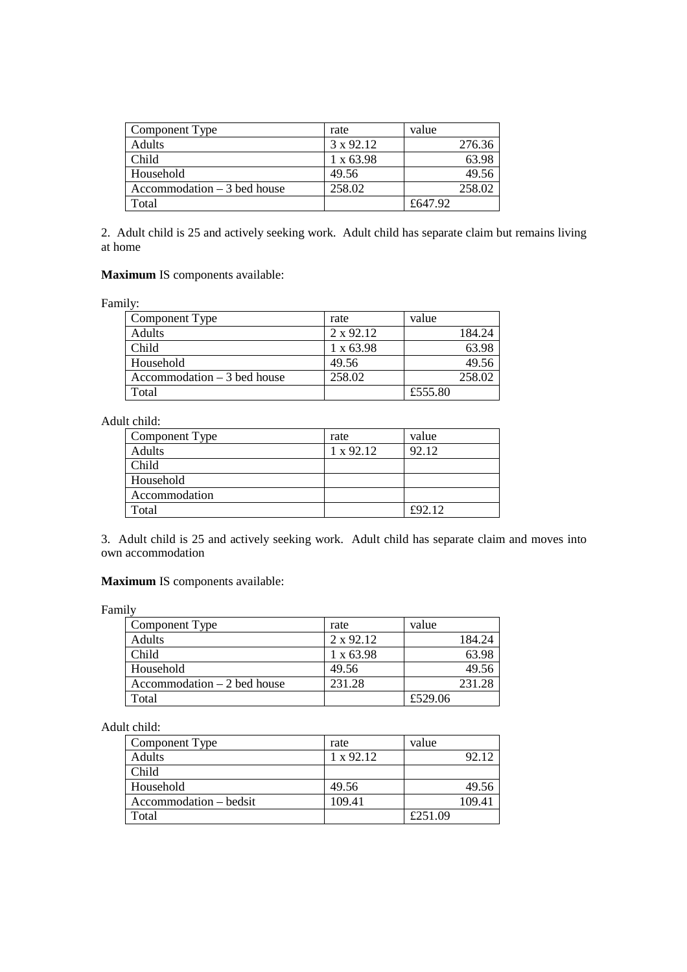| Component Type                       | rate             | value   |
|--------------------------------------|------------------|---------|
| Adults                               | 3 x 92.12        | 276.36  |
| Child                                | $1 \times 63.98$ | 63.98   |
| Household                            | 49.56            | 49.56   |
| $\text{Accommodation} - 3$ bed house | 258.02           | 258.02  |
| Total                                |                  | £647.92 |

2. Adult child is 25 and actively seeking work. Adult child has separate claim but remains living at home

## **Maximum** IS components available:

Family:

| Component Type                       | rate             | value   |
|--------------------------------------|------------------|---------|
| Adults                               | 2 x 92.12        | 184.24  |
| Child                                | $1 \times 63.98$ | 63.98   |
| Household                            | 49.56            | 49.56   |
| $\text{Accommodation} - 3$ bed house | 258.02           | 258.02  |
| Total                                |                  | £555.80 |

# Adult child:

| Component Type | rate      | value  |
|----------------|-----------|--------|
| Adults         | 1 x 92.12 | 92.12  |
| Child          |           |        |
| Household      |           |        |
| Accommodation  |           |        |
| Total          |           | £92.12 |

3. Adult child is 25 and actively seeking work. Adult child has separate claim and moves into own accommodation

## **Maximum** IS components available:

Family

| Component Type                               | rate             | value   |
|----------------------------------------------|------------------|---------|
| Adults                                       | $2 \times 92.12$ | 184.24  |
| Child                                        | $1 \times 63.98$ | 63.98   |
| Household                                    | 49.56            | 49.56   |
| $\text{Accommodation} - 2 \text{ bed house}$ | 231.28           | 231.28  |
| Total                                        |                  | £529.06 |

Adult child:

| Component Type         | rate             | value   |
|------------------------|------------------|---------|
| Adults                 | $1 \times 92.12$ | 92.12   |
| Child                  |                  |         |
| Household              | 49.56            | 49.56   |
| Accommodation – bedsit | 109.41           | 109.41  |
| Total                  |                  | £251.09 |